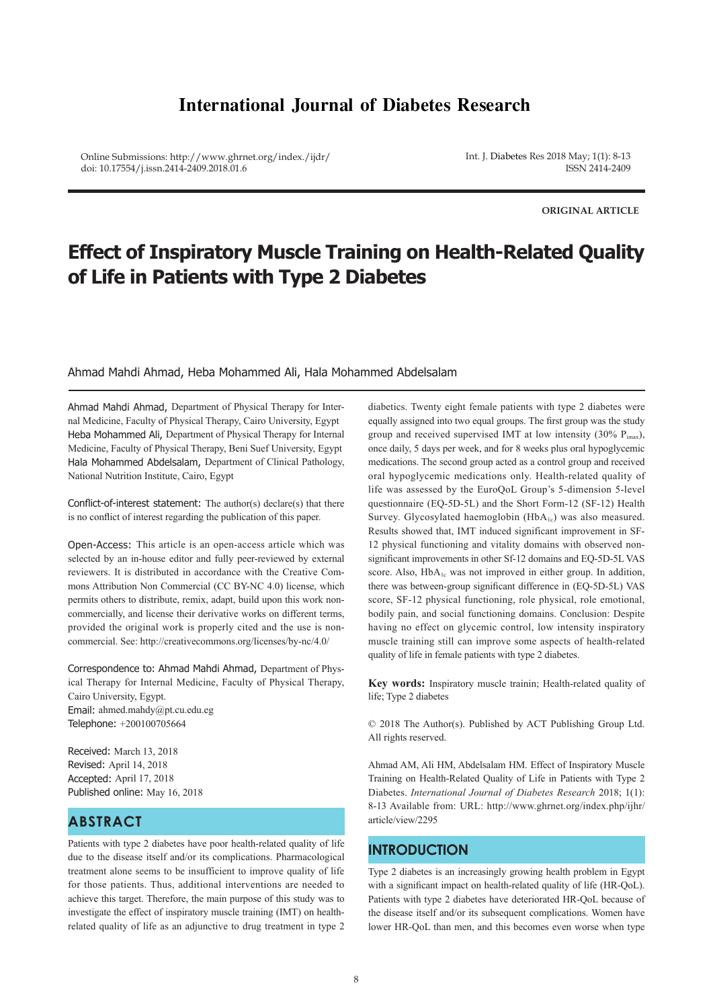# **International Journal of Diabetes Research**

Online Submissions: http://www.ghrnet.org/index./ijdr/ doi: 10.17554/j.issn.2414-2409.2018.01.6

Int. J. Diabetes Res 2018 May; 1(1): 8-13 ISSN 2414-2409

**ORIGINAL ARTICLE**

# **Effect of Inspiratory Muscle Training on Health-Related Quality of Life in Patients with Type 2 Diabetes**

#### Ahmad Mahdi Ahmad, Heba Mohammed Ali, Hala Mohammed Abdelsalam

Ahmad Mahdi Ahmad, Department of Physical Therapy for Internal Medicine, Faculty of Physical Therapy, Cairo University, Egypt Heba Mohammed Ali, Department of Physical Therapy for Internal Medicine, Faculty of Physical Therapy, Beni Suef University, Egypt Hala Mohammed Abdelsalam, Department of Clinical Pathology, National Nutrition Institute, Cairo, Egypt

Conflict-of-interest statement: The author(s) declare(s) that there is no conflict of interest regarding the publication of this paper.

Open-Access: This article is an open-access article which was selected by an in-house editor and fully peer-reviewed by external reviewers. It is distributed in accordance with the Creative Commons Attribution Non Commercial (CC BY-NC 4.0) license, which permits others to distribute, remix, adapt, build upon this work noncommercially, and license their derivative works on different terms, provided the original work is properly cited and the use is noncommercial. See: http://creativecommons.org/licenses/by-nc/4.0/

Correspondence to: Ahmad Mahdi Ahmad, Department of Physical Therapy for Internal Medicine, Faculty of Physical Therapy, Cairo University, Egypt. Email: ahmed.mahdy@pt.cu.edu.eg Telephone: +200100705664

Received: March 13, 2018 Revised: April 14, 2018 Accepted: April 17, 2018 Published online: May 16, 2018

# **ABSTRACT**

Patients with type 2 diabetes have poor health-related quality of life due to the disease itself and/or its complications. Pharmacological treatment alone seems to be insufficient to improve quality of life for those patients. Thus, additional interventions are needed to achieve this target. Therefore, the main purpose of this study was to investigate the effect of inspiratory muscle training (IMT) on healthrelated quality of life as an adjunctive to drug treatment in type 2

diabetics. Twenty eight female patients with type 2 diabetes were equally assigned into two equal groups. The first group was the study group and received supervised IMT at low intensity (30%  $P_{i max}$ ), once daily, 5 days per week, and for 8 weeks plus oral hypoglycemic medications. The second group acted as a control group and received oral hypoglycemic medications only. Health-related quality of life was assessed by the EuroQoL Group's 5-dimension 5-level questionnaire (EQ-5D-5L) and the Short Form-12 (SF-12) Health Survey. Glycosylated haemoglobin  $(HbA_{1c})$  was also measured. Results showed that, IMT induced significant improvement in SF-12 physical functioning and vitality domains with observed nonsignificant improvements in other Sf-12 domains and EQ-5D-5L VAS score. Also, HbA<sub>1c</sub> was not improved in either group. In addition, there was between-group significant difference in (EQ-5D-5L) VAS score, SF-12 physical functioning, role physical, role emotional, bodily pain, and social functioning domains. Conclusion: Despite having no effect on glycemic control, low intensity inspiratory muscle training still can improve some aspects of health-related quality of life in female patients with type 2 diabetes.

**Key words:** Inspiratory muscle trainin; Health-related quality of life; Type 2 diabetes

© 2018 The Author(s). Published by ACT Publishing Group Ltd. All rights reserved.

Ahmad AM, Ali HM, Abdelsalam HM. Effect of Inspiratory Muscle Training on Health-Related Quality of Life in Patients with Type 2 Diabetes. *International Journal of Diabetes Research* 2018; 1(1): 8-13 Available from: URL: http://www.ghrnet.org/index.php/ijhr/ article/view/2295

# **INTRODUCTION**

Type 2 diabetes is an increasingly growing health problem in Egypt with a significant impact on health-related quality of life (HR-QoL). Patients with type 2 diabetes have deteriorated HR-QoL because of the disease itself and/or its subsequent complications. Women have lower HR-QoL than men, and this becomes even worse when type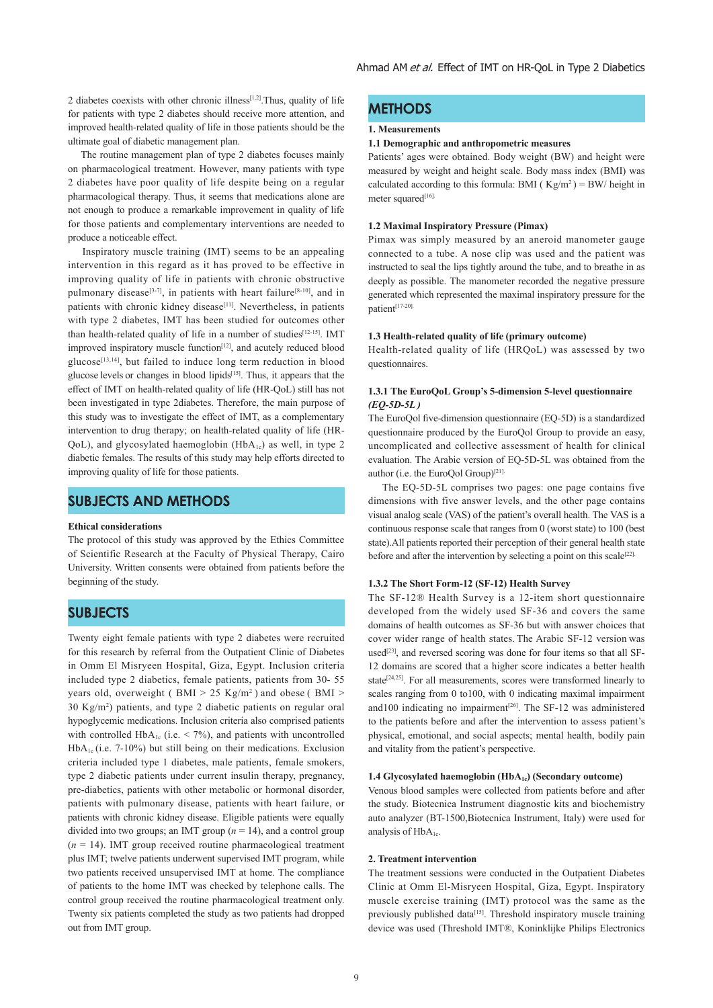2 diabetes coexists with other chronic illness<sup>[1,2]</sup>. Thus, quality of life for patients with type 2 diabetes should receive more attention, and improved health-related quality of life in those patients should be the ultimate goal of diabetic management plan.

 The routine management plan of type 2 diabetes focuses mainly on pharmacological treatment. However, many patients with type 2 diabetes have poor quality of life despite being on a regular pharmacological therapy. Thus, it seems that medications alone are not enough to produce a remarkable improvement in quality of life for those patients and complementary interventions are needed to produce a noticeable effect.

 Inspiratory muscle training (IMT) seems to be an appealing intervention in this regard as it has proved to be effective in improving quality of life in patients with chronic obstructive pulmonary disease<sup>[3-7]</sup>, in patients with heart failure<sup>[8-10]</sup>, and in patients with chronic kidney disease<sup>[11]</sup>. Nevertheless, in patients with type 2 diabetes, IMT has been studied for outcomes other than health-related quality of life in a number of studies<sup>[12-15]</sup>. IMT improved inspiratory muscle function<sup>[12]</sup>, and acutely reduced blood glucose<sup>[13,14]</sup>, but failed to induce long term reduction in blood glucose levels or changes in blood lipids[15]. Thus, it appears that the effect of IMT on health-related quality of life (HR-QoL) still has not been investigated in type 2diabetes. Therefore, the main purpose of this study was to investigate the effect of IMT, as a complementary intervention to drug therapy; on health-related quality of life (HR- $\text{OoL}$ ), and glycosylated haemoglobin (HbA<sub>1c</sub>) as well, in type 2 diabetic females. The results of this study may help efforts directed to improving quality of life for those patients.

# **SUBJECTS AND METHODS**

#### **Ethical considerations**

The protocol of this study was approved by the Ethics Committee of Scientific Research at the Faculty of Physical Therapy, Cairo University. Written consents were obtained from patients before the beginning of the study.

# **SUBJECTS**

Twenty eight female patients with type 2 diabetes were recruited for this research by referral from the Outpatient Clinic of Diabetes in Omm El Misryeen Hospital, Giza, Egypt. Inclusion criteria included type 2 diabetics, female patients, patients from 30- 55 years old, overweight ( $BMI > 25$  Kg/m<sup>2</sup>) and obese ( $BMI > 15$ 30 Kg/m2 ) patients, and type 2 diabetic patients on regular oral hypoglycemic medications. Inclusion criteria also comprised patients with controlled HbA<sub>1c</sub> (i.e.  $\leq$  7%), and patients with uncontrolled  $HbA_{1c}$  (i.e. 7-10%) but still being on their medications. Exclusion criteria included type 1 diabetes, male patients, female smokers, type 2 diabetic patients under current insulin therapy, pregnancy, pre-diabetics, patients with other metabolic or hormonal disorder, patients with pulmonary disease, patients with heart failure, or patients with chronic kidney disease. Eligible patients were equally divided into two groups; an IMT group (*n* = 14), and a control group  $(n = 14)$ . IMT group received routine pharmacological treatment plus IMT; twelve patients underwent supervised IMT program, while two patients received unsupervised IMT at home. The compliance of patients to the home IMT was checked by telephone calls. The control group received the routine pharmacological treatment only. Twenty six patients completed the study as two patients had dropped out from IMT group.

# **METHODS**

#### **1. Measurements**

#### **1.1 Demographic and anthropometric measures**

Patients' ages were obtained. Body weight (BW) and height were measured by weight and height scale. Body mass index (BMI) was calculated according to this formula: BMI ( $Kg/m^2$ ) = BW/ height in meter squared<sup>[16].</sup>

#### **1.2 Maximal Inspiratory Pressure (Pimax)**

Pimax was simply measured by an aneroid manometer gauge connected to a tube. A nose clip was used and the patient was instructed to seal the lips tightly around the tube, and to breathe in as deeply as possible. The manometer recorded the negative pressure generated which represented the maximal inspiratory pressure for the patient[17-20].

#### **1.3 Health-related quality of life (primary outcome)**

Health-related quality of life (HRQoL) was assessed by two questionnaires.

### **1.3.1 The EuroQoL Group's 5-dimension 5-level questionnaire**  *(EQ-5D-5L )*

The EuroQol five-dimension questionnaire (EQ-5D) is a standardized questionnaire produced by the EuroQol Group to provide an easy, uncomplicated and collective assessment of health for clinical evaluation. The Arabic version of EQ-5D-5L was obtained from the author (i.e. the EuroQol Group) [21].

 The EQ-5D-5L comprises two pages: one page contains five dimensions with five answer levels, and the other page contains visual analog scale (VAS) of the patient's overall health. The VAS is a continuous response scale that ranges from 0 (worst state) to 100 (best state).All patients reported their perception of their general health state before and after the intervention by selecting a point on this scale<sup>[22].</sup>

#### **1.3.2 The Short Form-12 (SF-12) Health Survey**

The SF-12® Health Survey is a 12-item short questionnaire developed from the widely used SF-36 and covers the same domains of health outcomes as SF-36 but with answer choices that cover wider range of health states. The Arabic SF-12 version was used<sup>[23]</sup>, and reversed scoring was done for four items so that all SF-12 domains are scored that a higher score indicates a better health state<sup>[24,25]</sup>. For all measurements, scores were transformed linearly to scales ranging from 0 to100, with 0 indicating maximal impairment and 100 indicating no impairment<sup>[26]</sup>. The SF-12 was administered to the patients before and after the intervention to assess patient's physical, emotional, and social aspects; mental health, bodily pain and vitality from the patient's perspective.

#### **1.4 Glycosylated haemoglobin (HbA1c) (Secondary outcome)**

Venous blood samples were collected from patients before and after the study. Biotecnica Instrument diagnostic kits and biochemistry auto analyzer (BT-1500,Biotecnica Instrument, Italy) were used for analysis of HbA<sub>1c</sub>.

#### **2. Treatment intervention**

The treatment sessions were conducted in the Outpatient Diabetes Clinic at Omm El-Misryeen Hospital, Giza, Egypt. Inspiratory muscle exercise training (IMT) protocol was the same as the previously published data<sup>[15]</sup>. Threshold inspiratory muscle training device was used (Threshold IMT®, Koninklijke Philips Electronics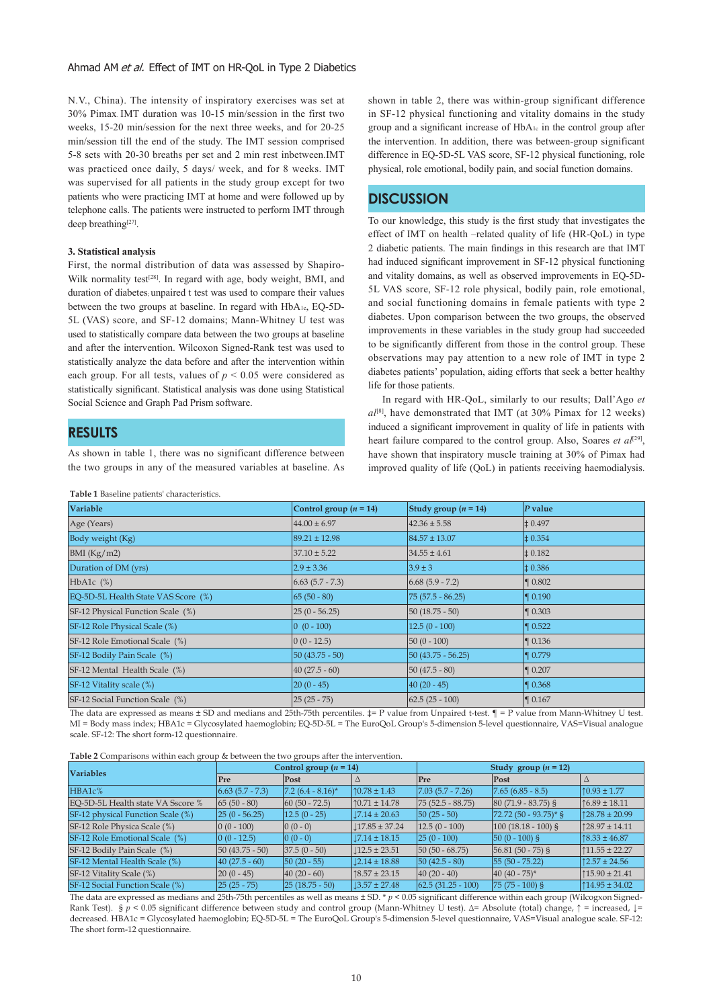#### Ahmad AM et al. Effect of IMT on HR-OoL in Type 2 Diabetics

N.V., China). The intensity of inspiratory exercises was set at 30% Pimax. IMT duration was 10-15 min/session in the first two weeks, 15-20 min/session for the next three weeks, and for 20-25 min/session till the end of the study. The IMT session comprised 5-8 sets with 20-30 breaths per set and 2 min rest inbetween.IMT was practiced once daily, 5 days/ week, and for 8 weeks. IMT was supervised for all patients in the study group except for two patients who were practicing IMT at home and were followed up by telephone calls. The patients were instructed to perform IMT through deep breathing<sup>[27]</sup>.

#### **3. Statistical analysis**

First, the normal distribution of data was assessed by Shapiro-Wilk normality test<sup>[28]</sup>. In regard with age, body weight, BMI, and duration of diabetes; unpaired t test was used to compare their values between the two groups at baseline. In regard with HbA1c, EQ-5D-5L (VAS) score, and SF-12 domains; Mann-Whitney U test was used to statistically compare data between the two groups at baseline and after the intervention. Wilcoxon Signed-Rank test was used to statistically analyze the data before and after the intervention within each group. For all tests, values of  $p \le 0.05$  were considered as statistically significant. Statistical analysis was done using Statistical Social Science and Graph Pad Prism software.

# **RESULTS**

As shown in table 1, there was no significant difference between the two groups in any of the measured variables at baseline. As

**Table 1** Baseline patients' characteristics.

shown in table 2, there was within-group significant difference in SF-12 physical functioning and vitality domains in the study group and a significant increase of HbA1c in the control group after the intervention. In addition, there was between-group significant difference in EQ-5D-5L VAS score, SF-12 physical functioning, role physical, role emotional, bodily pain, and social function domains.

# **DISCUSSION**

To our knowledge, this study is the first study that investigates the effect of IMT on health –related quality of life (HR-QoL) in type 2 diabetic patients. The main findings in this research are that IMT had induced significant improvement in SF-12 physical functioning and vitality domains, as well as observed improvements in EQ-5D-5L VAS score, SF-12 role physical, bodily pain, role emotional, and social functioning domains in female patients with type 2 diabetes. Upon comparison between the two groups, the observed improvements in these variables in the study group had succeeded to be significantly different from those in the control group. These observations may pay attention to a new role of IMT in type 2 diabetes patients' population, aiding efforts that seek a better healthy life for those patients.

 In regard with HR-QoL, similarly to our results; Dall'Ago *et al*[8], have demonstrated that IMT (at 30% Pimax for 12 weeks) induced a significant improvement in quality of life in patients with heart failure compared to the control group. Also, Soares *et al*<sup>[29]</sup>, have shown that inspiratory muscle training at 30% of Pimax had improved quality of life (QoL) in patients receiving haemodialysis.

| Variable                            | Control group $(n = 14)$             | Study group $(n = 14)$ | $P$ value            |
|-------------------------------------|--------------------------------------|------------------------|----------------------|
| Age (Years)                         | $44.00 \pm 6.97$                     | $42.36 \pm 5.58$       | $\pm 0.497$          |
| Body weight (Kg)                    | $89.21 \pm 12.98$                    | $84.57 \pm 13.07$      | $\pm 0.354$          |
| BMI(Kg/m2)                          | $37.10 \pm 5.22$                     | $34.55 \pm 4.61$       | $\pm 0.182$          |
| Duration of DM (yrs)                | $2.9 \pm 3.36$                       | $3.9 \pm 3$            | $\pm 0.386$          |
| HbA1c $(\%)$                        | $\vert 6.63 \vert (5.7 - 7.3) \vert$ | $6.68(5.9 - 7.2)$      | $\blacksquare$ 0.802 |
| EQ-5D-5L Health State VAS Score (%) | $65(50-80)$                          | $75(57.5 - 86.25)$     | $\blacksquare$ 0.190 |
| SF-12 Physical Function Scale (%)   | $ 25(0 - 56.25) $                    | $50(18.75-50)$         | $\P 0.303$           |
| SF-12 Role Physical Scale (%)       | $ 0(0-100) $                         | $12.5(0 - 100)$        | $\blacksquare$ 0.522 |
| SF-12 Role Emotional Scale (%)      | $ 0(0 - 12.5) $                      | $50(0 - 100)$          | $\P$ 0.136           |
| SF-12 Bodily Pain Scale (%)         | $50(43.75 - 50)$                     | $50(43.75 - 56.25)$    | $\blacksquare$ 0.779 |
| SF-12 Mental Health Scale (%)       | $40(27.5 - 60)$                      | $50(47.5 - 80)$        | $\blacksquare$ 0.207 |
| SF-12 Vitality scale (%)            | $ 20(0 - 45) $                       | $40(20-45)$            | $\blacksquare$ 0.368 |
| SF-12 Social Function Scale (%)     | $25(25 - 75)$                        | $62.5(25-100)$         | $\boxed{\P}$ 0.167   |

The data are expressed as means  $\pm$  SD and medians and 25th-75th percentiles.  $\pm$ = P value from Unpaired t-test.  $\P =$  P value from Mann-Whitney U test. MI = Body mass index; HBA1c = Glycosylated haemoglobin; EQ-5D-5L = The EuroQoL Group's 5-dimension 5-level questionnaire, VAS=Visual analogue scale. SF-12: The short form-12 questionnaire.

**Table 2** Comparisons within each group & between the two groups after the intervention.

| $\sim$                            |                                      |                        |                         |                        |                           |                          |
|-----------------------------------|--------------------------------------|------------------------|-------------------------|------------------------|---------------------------|--------------------------|
| <b>Variables</b>                  | Control group $(n = 14)$             |                        |                         | Study group $(n = 12)$ |                           |                          |
|                                   | Pre                                  | $\vert$ Post           |                         | Pre                    | Post                      |                          |
| HBA1c%                            | $\vert 6.63 \vert (5.7 - 7.3) \vert$ | $[7.2 (6.4 - 8.16)^*]$ | $110.78 \pm 1.43$       | $[7.03(5.7 - 7.26)]$   | $ 7.65(6.85 - 8.5) $      | $\uparrow$ 0.93 ± 1.77   |
| EO-5D-5L Health state VA Sscore % | $ 65(50-80) $                        | $ 60(50 - 72.5) $      | $\uparrow$ 0.71 ± 14.78 | $ 75(52.5 - 88.75) $   | $ 80(71.9 - 83.75)$       | $\uparrow$ 6.89 ± 18.11  |
| SF-12 physical Function Scale (%) | $ 25(0 - 56.25) $                    | $ 12.5(0 - 25) $       | $17.14 \pm 20.63$       | $ 50(25-50) $          | $[72.72 (50 - 93.75)^*$ § | $128.78 \pm 20.99$       |
| SF-12 Role Physica Scale (%)      | $ 0(0 - 100) $                       | $ 0(0-0) $             | $17.85 \pm 37.24$       | $ 12.5(0 - 100) $      | $ 100(18.18 - 100) $      | $\uparrow$ 28.97 ± 14.11 |
| SF-12 Role Emotional Scale (%)    | $ 0(0 - 12.5) $                      | $ 0(0-0) $             | $17.14 \pm 18.15$       | $ 25(0 - 100) $        | $ 50(0 - 100) $           | $\uparrow$ 8.33 ± 46.87  |
| SF-12 Bodily Pain Scale (%)       | $ 50(43.75 - 50) $                   | $ 37.5(0 - 50) $       | $12.5 \pm 23.51$        | $ 50(50 - 68.75) $     | $ 56.81(50 - 75) $        | $11.55 \pm 22.27$        |
| SF-12 Mental Health Scale (%)     | $ 40(27.5 - 60) $                    | $ 50(20-55) $          | $12.14 \pm 18.88$       | $ 50 (42.5 - 80) $     | $ 55(50 - 75.22) $        | $\uparrow$ 2.57 ± 24.56  |
| SF-12 Vitality Scale (%)          | $ 20(0 - 45) $                       | $ 40(20-60) $          | $\uparrow$ 8.57 ± 23.15 | $ 40(20-40) $          | $ 40 (40 - 75)^*$         | $\uparrow$ 15.90 ± 21.41 |
| SF-12 Social Function Scale (%)   | $ 25(25-75) $                        | $ 25(18.75-50) $       | $13.57 \pm 27.48$       | $(62.5 (31.25 - 100))$ | $75(75-100)$ \$           | $114.95 \pm 34.02$       |

The data are expressed as medians and 25th-75th percentiles as well as means ± SD. \* *p* < 0.05 significant difference within each group (Wilcogxon Signed-Rank Test). § *p* < 0.05 significant difference between study and control group (Mann-Whitney U test). Δ= Absolute (total) change, **↑** = increased, **↓**= decreased. HBA1c = Glycosylated haemoglobin; EQ-5D-5L = The EuroQoL Group's 5-dimension 5-level questionnaire, VAS=Visual analogue scale. SF-12: The short form-12 questionnaire.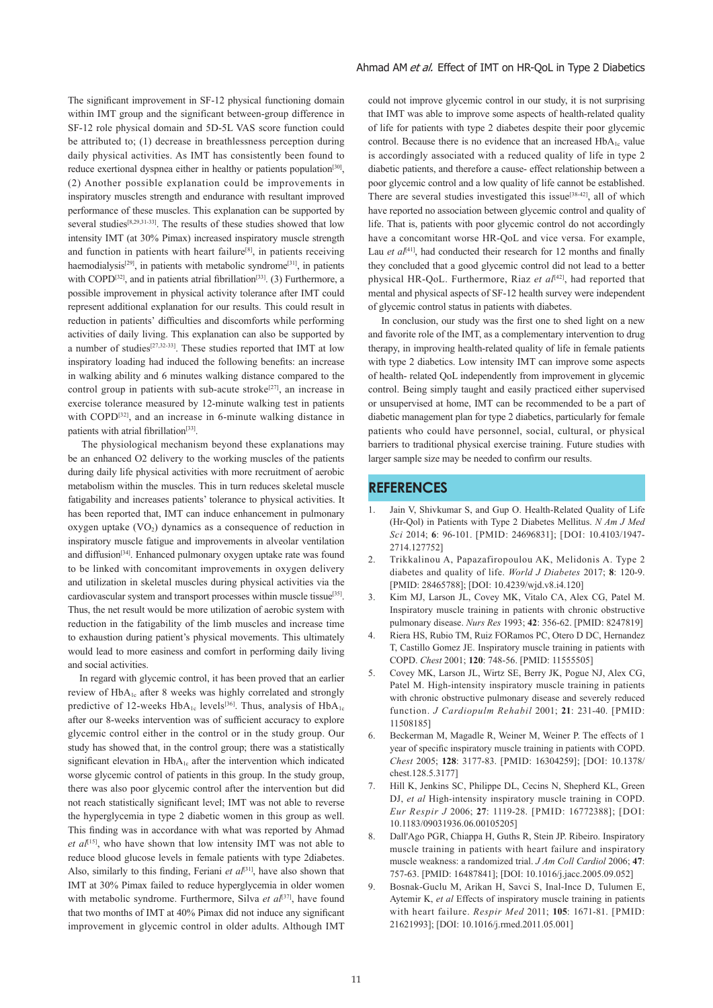The significant improvement in SF-12 physical functioning domain within IMT group and the significant between-group difference in SF-12 role physical domain and 5D-5L VAS score function could be attributed to; (1) decrease in breathlessness perception during daily physical activities. As IMT has consistently been found to reduce exertional dyspnea either in healthy or patients population<sup>[30]</sup>, (2) Another possible explanation could be improvements in inspiratory muscles strength and endurance with resultant improved performance of these muscles. This explanation can be supported by several studies<sup>[8,29,31-33]</sup>. The results of these studies showed that low intensity IMT (at 30% Pimax) increased inspiratory muscle strength and function in patients with heart failure<sup>[8]</sup>, in patients receiving haemodialysis<sup>[29]</sup>, in patients with metabolic syndrome<sup>[31]</sup>, in patients with COPD<sup>[32]</sup>, and in patients atrial fibrillation<sup>[33]</sup>. (3) Furthermore, a possible improvement in physical activity tolerance after IMT could represent additional explanation for our results. This could result in reduction in patients' difficulties and discomforts while performing activities of daily living. This explanation can also be supported by a number of studies<sup>[27,32-33]</sup>. These studies reported that IMT at low inspiratory loading had induced the following benefits: an increase in walking ability and 6 minutes walking distance compared to the control group in patients with sub-acute stroke $[27]$ , an increase in exercise tolerance measured by 12-minute walking test in patients with COPD<sup>[32]</sup>, and an increase in 6-minute walking distance in patients with atrial fibrillation<sup>[33]</sup>.

 The physiological mechanism beyond these explanations may be an enhanced O2 delivery to the working muscles of the patients during daily life physical activities with more recruitment of aerobic metabolism within the muscles. This in turn reduces skeletal muscle fatigability and increases patients' tolerance to physical activities. It has been reported that, IMT can induce enhancement in pulmonary oxygen uptake  $(VO<sub>2</sub>)$  dynamics as a consequence of reduction in inspiratory muscle fatigue and improvements in alveolar ventilation and diffusion<sup>[34]</sup>. Enhanced pulmonary oxygen uptake rate was found to be linked with concomitant improvements in oxygen delivery and utilization in skeletal muscles during physical activities via the cardiovascular system and transport processes within muscle tissue<sup>[35]</sup>. Thus, the net result would be more utilization of aerobic system with reduction in the fatigability of the limb muscles and increase time to exhaustion during patient's physical movements. This ultimately would lead to more easiness and comfort in performing daily living and social activities.

 In regard with glycemic control, it has been proved that an earlier review of HbA1c after 8 weeks was highly correlated and strongly predictive of 12-weeks  $HbA_{1c}$  levels<sup>[36]</sup>. Thus, analysis of  $HbA_{1c}$ after our 8-weeks intervention was of sufficient accuracy to explore glycemic control either in the control or in the study group. Our study has showed that, in the control group; there was a statistically significant elevation in  $HbA_{1c}$  after the intervention which indicated worse glycemic control of patients in this group. In the study group, there was also poor glycemic control after the intervention but did not reach statistically significant level; IMT was not able to reverse the hyperglycemia in type 2 diabetic women in this group as well. This finding was in accordance with what was reported by Ahmad *et al*<sup>[15]</sup>, who have shown that low intensity IMT was not able to reduce blood glucose levels in female patients with type 2diabetes. Also, similarly to this finding, Feriani *et al*[31], have also shown that IMT at 30% Pimax failed to reduce hyperglycemia in older women with metabolic syndrome. Furthermore, Silva *et al*<sup>[37]</sup>, have found that two months of IMT at 40% Pimax did not induce any significant improvement in glycemic control in older adults. Although IMT

could not improve glycemic control in our study, it is not surprising that IMT was able to improve some aspects of health-related quality of life for patients with type 2 diabetes despite their poor glycemic control. Because there is no evidence that an increased  $HbA_{1c}$  value is accordingly associated with a reduced quality of life in type 2 diabetic patients, and therefore a cause- effect relationship between a poor glycemic control and a low quality of life cannot be established. There are several studies investigated this issue<sup>[38-42]</sup>, all of which have reported no association between glycemic control and quality of life. That is, patients with poor glycemic control do not accordingly have a concomitant worse HR-QoL and vice versa. For example, Lau *et al*<sup>[41]</sup>, had conducted their research for 12 months and finally they concluded that a good glycemic control did not lead to a better physical HR-QoL. Furthermore, Riaz et al<sup>[42]</sup>, had reported that mental and physical aspects of SF-12 health survey were independent of glycemic control status in patients with diabetes.

 In conclusion, our study was the first one to shed light on a new and favorite role of the IMT, as a complementary intervention to drug therapy, in improving health-related quality of life in female patients with type 2 diabetics. Low intensity IMT can improve some aspects of health- related QoL independently from improvement in glycemic control. Being simply taught and easily practiced either supervised or unsupervised at home, IMT can be recommended to be a part of diabetic management plan for type 2 diabetics, particularly for female patients who could have personnel, social, cultural, or physical barriers to traditional physical exercise training. Future studies with larger sample size may be needed to confirm our results.

# **REFERENCES**

- Jain V, Shivkumar S, and Gup O. Health-Related Quality of Life (Hr-Qol) in Patients with Type 2 Diabetes Mellitus. *N Am J Med Sci* 2014; **6**: 96-101. [PMID: 24696831]; [DOI: 10.4103/1947- 2714.127752]
- 2. Trikkalinou A, Papazafiropoulou AK, Melidonis A. Type 2 diabetes and quality of life. *World J Diabetes* 2017; **8**: 120-9. [PMID: 28465788]; [DOI: 10.4239/wjd.v8.i4.120]
- 3. Kim MJ, Larson JL, Covey MK, Vitalo CA, Alex CG, Patel M. Inspiratory muscle training in patients with chronic obstructive pulmonary disease. *Nurs Res* 1993; **42**: 356-62. [PMID: 8247819]
- 4. Riera HS, Rubio TM, Ruiz FORamos PC, Otero D DC, Hernandez T, Castillo Gomez JE. Inspiratory muscle training in patients with COPD. *Chest* 2001; **120**: 748-56. [PMID: 11555505]
- 5. Covey MK, Larson JL, Wirtz SE, Berry JK, Pogue NJ, Alex CG, Patel M. High-intensity inspiratory muscle training in patients with chronic obstructive pulmonary disease and severely reduced function. *J Cardiopulm Rehabil* 2001; **21**: 231-40. [PMID: 11508185]
- 6. Beckerman M, Magadle R, Weiner M, Weiner P. The effects of 1 year of specific inspiratory muscle training in patients with COPD. *Chest* 2005; **128**: 3177-83. [PMID: 16304259]; [DOI: 10.1378/ chest.128.5.3177]
- 7. Hill K, Jenkins SC, Philippe DL, Cecins N, Shepherd KL, Green DJ, *et al* High-intensity inspiratory muscle training in COPD. *Eur Respir J* 2006; **27**: 1119-28. [PMID: 16772388]; [DOI: 10.1183/09031936.06.00105205]
- 8. Dall'Ago PGR, Chiappa H, Guths R, Stein JP. Ribeiro. Inspiratory muscle training in patients with heart failure and inspiratory muscle weakness: a randomized trial. *J Am Coll Cardiol* 2006; **47**: 757-63. [PMID: 16487841]; [DOI: 10.1016/j.jacc.2005.09.052]
- 9. Bosnak-Guclu M, Arikan H, Savci S, Inal-Ince D, Tulumen E, Aytemir K, *et al* Effects of inspiratory muscle training in patients with heart failure. *Respir Med* 2011; **105**: 1671-81. [PMID: 21621993]; [DOI: 10.1016/j.rmed.2011.05.001]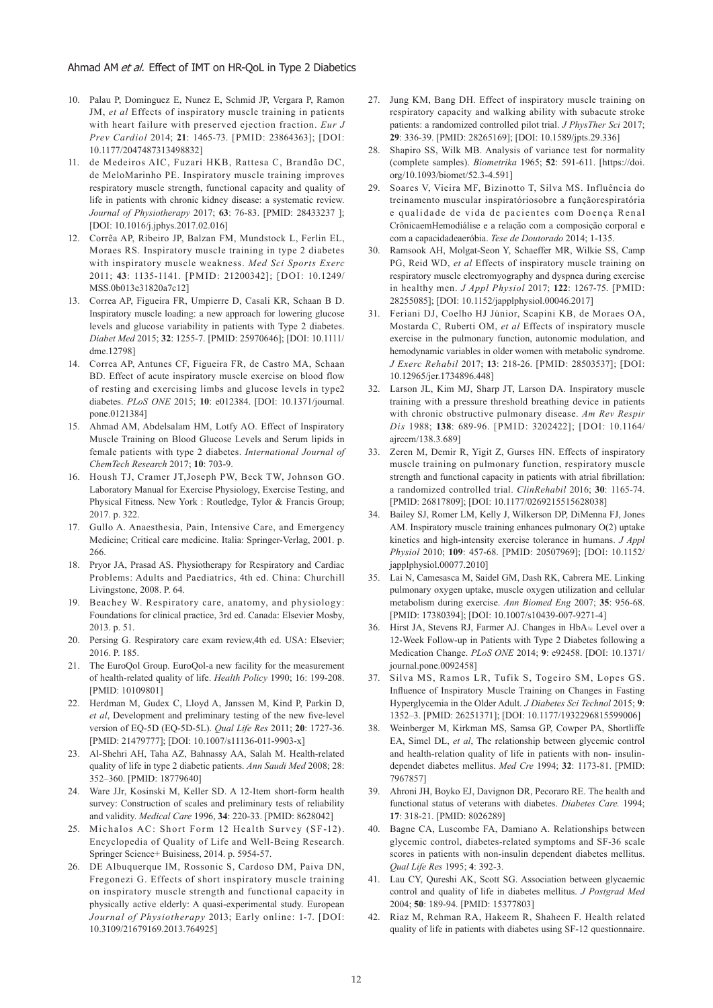- 10. Palau P, Dominguez E, Nunez E, Schmid JP, Vergara P, Ramon JM, *et al* Effects of inspiratory muscle training in patients with heart failure with preserved ejection fraction. *Eur J Prev Cardiol* 2014; **21**: 1465-73. [PMID: 23864363]; [DOI: 10.1177/2047487313498832]
- 11. de Medeiros AIC, Fuzari HKB, Rattesa C, Brandão DC, de MeloMarinho PE. Inspiratory muscle training improves respiratory muscle strength, functional capacity and quality of life in patients with chronic kidney disease: a systematic review. *Journal of Physiotherapy* 2017; **63**: 76-83. [PMID: 28433237 ]; [DOI: 10.1016/j.jphys.2017.02.016]
- 12. Corrêa AP, Ribeiro JP, Balzan FM, Mundstock L, Ferlin EL, Moraes RS. Inspiratory muscle training in type 2 diabetes with inspiratory muscle weakness. *Med Sci Sports Exerc*  2011; **43**: 1135-1141. [PMID: 21200342]; [DOI: 10.1249/ MSS.0b013e31820a7c12]
- 13. Correa AP, Figueira FR, Umpierre D, Casali KR, Schaan B D. Inspiratory muscle loading: a new approach for lowering glucose levels and glucose variability in patients with Type 2 diabetes. *Diabet Med* 2015; **32**: 1255-7. [PMID: 25970646]; [DOI: 10.1111/ dme.12798]
- 14. Correa AP, Antunes CF, Figueira FR, de Castro MA, Schaan BD. Effect of acute inspiratory muscle exercise on blood flow of resting and exercising limbs and glucose levels in type2 diabetes. *PLoS ONE* 2015; **10**: e012384. [DOI: 10.1371/journal. pone.0121384]
- 15. Ahmad AM, Abdelsalam HM, Lotfy AO. Effect of Inspiratory Muscle Training on Blood Glucose Levels and Serum lipids in female patients with type 2 diabetes. *International Journal of ChemTech Research* 2017; **10**: 703-9.
- 16. Housh TJ, Cramer JT,Joseph PW, Beck TW, Johnson GO. Laboratory Manual for Exercise Physiology, Exercise Testing, and Physical Fitness. New York : Routledge, Tylor & Francis Group; 2017. p. 322.
- 17. Gullo A. Anaesthesia, Pain, Intensive Care, and Emergency Medicine; Critical care medicine. Italia: Springer-Verlag, 2001. p. 266.
- 18. Pryor JA, Prasad AS. Physiotherapy for Respiratory and Cardiac Problems: Adults and Paediatrics, 4th ed. China: Churchill Livingstone, 2008. P. 64.
- 19. Beachey W. Respiratory care, anatomy, and physiology: Foundations for clinical practice, 3rd ed. Canada: Elsevier Mosby, 2013. p. 51.
- 20. Persing G. Respiratory care exam review,4th ed. USA: Elsevier; 2016. P. 185.
- 21. The EuroQol Group. EuroQol-a new facility for the measurement of health-related quality of life. *Health Policy* 1990; 16: 199-208. [PMID: 10109801]
- 22. Herdman M, Gudex C, Lloyd A, Janssen M, Kind P, Parkin D, *et al*, Development and preliminary testing of the new five-level version of EQ-5D (EQ-5D-5L). *Qual Life Res* 2011; **20**: 1727-36. [PMID: 21479777]; [DOI: 10.1007/s11136-011-9903-x]
- 23. Al-Shehri AH, Taha AZ, Bahnassy AA, Salah M. Health-related quality of life in type 2 diabetic patients. *Ann Saudi Med* 2008; 28: 352–360. [PMID: 18779640]
- 24. Ware JJr, Kosinski M, Keller SD. A 12-Item short-form health survey: Construction of scales and preliminary tests of reliability and validity. *Medical Care* 1996, **34**: 220-33. [PMID: 8628042]
- 25. Michalos AC: Short Form 12 Health Survey (SF-12). Encyclopedia of Quality of Life and Well-Being Research. Springer Science+ Buisiness, 2014. p. 5954-57.
- 26. DE Albuquerque IM, Rossonic S, Cardoso DM, Paiva DN, Fregonezi G. Effects of short inspiratory muscle training on inspiratory muscle strength and functional capacity in physically active elderly: A quasi-experimental study. European *Journal of Physiotherapy* 2013; Early online: 1-7. [DOI: 10.3109/21679169.2013.764925]
- 27. Jung KM, Bang DH. Effect of inspiratory muscle training on respiratory capacity and walking ability with subacute stroke patients: a randomized controlled pilot trial. *J PhysTher Sci* 2017; **29**: 336-39. [PMID: 28265169]; [DOI: 10.1589/jpts.29.336]
- 28. Shapiro SS, Wilk MB. Analysis of variance test for normality (complete samples). *Biometrika* 1965; **52**: 591-611. [https://doi. org/10.1093/biomet/52.3-4.591]
- 29. Soares V, Vieira MF, Bizinotto T, Silva MS. Influência do treinamento muscular inspiratóriosobre a funçãorespiratória e qualidade de vida de pacientes com Doença Renal CrônicaemHemodiálise e a relação com a composição corporal e com a capacidadeaeróbia. *Tese de Doutorado* 2014; 1-135.
- 30. Ramsook AH, Molgat-Seon Y, Schaeffer MR, Wilkie SS, Camp PG, Reid WD, *et al* Effects of inspiratory muscle training on respiratory muscle electromyography and dyspnea during exercise in healthy men. *J Appl Physiol* 2017; **122**: 1267-75. [PMID: 28255085]; [DOI: 10.1152/japplphysiol.00046.2017]
- 31. Feriani DJ, Coelho HJ Júnior, Scapini KB, de Moraes OA, Mostarda C, Ruberti OM, *et al* Effects of inspiratory muscle exercise in the pulmonary function, autonomic modulation, and hemodynamic variables in older women with metabolic syndrome. *J Exerc Rehabil* 2017; **13**: 218-26. [PMID: 28503537]; [DOI: 10.12965/jer.1734896.448]
- 32. Larson JL, Kim MJ, Sharp JT, Larson DA. Inspiratory muscle training with a pressure threshold breathing device in patients with chronic obstructive pulmonary disease. *Am Rev Respir Dis* 1988; **138**: 689-96. [PMID: 3202422]; [DOI: 10.1164/ ajrccm/138.3.689]
- 33. Zeren M, Demir R, Yigit Z, Gurses HN. Effects of inspiratory muscle training on pulmonary function, respiratory muscle strength and functional capacity in patients with atrial fibrillation: a randomized controlled trial. *ClinRehabil* 2016; **30**: 1165-74. [PMID: 26817809]; [DOI: 10.1177/0269215515628038]
- 34. Bailey SJ, Romer LM, Kelly J, Wilkerson DP, DiMenna FJ, Jones AM. Inspiratory muscle training enhances pulmonary O(2) uptake kinetics and high-intensity exercise tolerance in humans. *J Appl Physiol* 2010; **109**: 457-68. [PMID: 20507969]; [DOI: 10.1152/ japplphysiol.00077.2010]
- 35. Lai N, Camesasca M, Saidel GM, Dash RK, Cabrera ME. Linking pulmonary oxygen uptake, muscle oxygen utilization and cellular metabolism during exercise. *Ann Biomed Eng* 2007; **35**: 956-68. [PMID: 17380394]; [DOI: 10.1007/s10439-007-9271-4]
- 36. Hirst JA, Stevens RJ, Farmer AJ. Changes in HbA1c Level over a 12-Week Follow-up in Patients with Type 2 Diabetes following a Medication Change. *PLoS ONE* 2014; **9**: e92458. [DOI: 10.1371/ journal.pone.0092458]
- 37. Silva MS, Ramos LR, Tufik S, Togeiro SM, Lopes GS. Influence of Inspiratory Muscle Training on Changes in Fasting Hyperglycemia in the Older Adult. *J Diabetes Sci Technol* 2015; **9**: 1352–3. [PMID: 26251371]; [DOI: 10.1177/1932296815599006]
- 38. Weinberger M, Kirkman MS, Samsa GP, Cowper PA, Shortliffe EA, Simel DL, *et al*, The relationship between glycemic control and health-relation quality of life in patients with non- insulindependet diabetes mellitus. *Med Cre* 1994; **32**: 1173-81. [PMID: 7967857]
- 39. Ahroni JH, Boyko EJ, Davignon DR, Pecoraro RE. The health and functional status of veterans with diabetes. *Diabetes Care.* 1994; **17**: 318-21. [PMID: 8026289]
- 40. Bagne CA, Luscombe FA, Damiano A. Relationships between glycemic control, diabetes-related symptoms and SF-36 scale scores in patients with non-insulin dependent diabetes mellitus. *Qual Life Res* 1995; **4**: 392-3.
- 41. Lau CY, Qureshi AK, Scott SG. Association between glycaemic control and quality of life in diabetes mellitus. *J Postgrad Med*  2004; **50**: 189-94. [PMID: 15377803]
- 42. Riaz M, Rehman RA, Hakeem R, Shaheen F. Health related quality of life in patients with diabetes using SF-12 questionnaire.